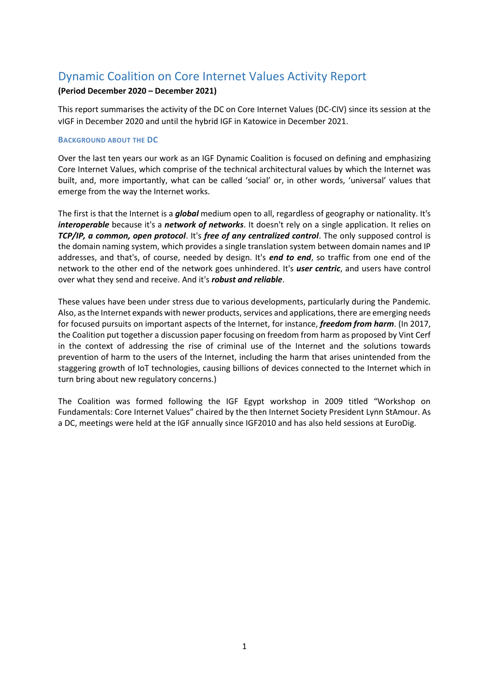# Dynamic Coalition on Core Internet Values Activity Report

## **(Period December 2020 – December 2021)**

This report summarises the activity of the DC on Core Internet Values (DC-CIV) since its session at the vIGF in December 2020 and until the hybrid IGF in Katowice in December 2021.

### **BACKGROUND ABOUT THE DC**

Over the last ten years our work as an IGF Dynamic Coalition is focused on defining and emphasizing Core Internet Values, which comprise of the technical architectural values by which the Internet was built, and, more importantly, what can be called 'social' or, in other words, 'universal' values that emerge from the way the Internet works.

The first is that the Internet is a *global* medium open to all, regardless of geography or nationality. It's *interoperable* because it's a *network of networks*. It doesn't rely on a single application. It relies on *TCP/IP, a common, open protocol*. It's *free of any centralized control*. The only supposed control is the domain naming system, which provides a single translation system between domain names and IP addresses, and that's, of course, needed by design. It's *end to end*, so traffic from one end of the network to the other end of the network goes unhindered. It's *user centric*, and users have control over what they send and receive. And it's *robust and reliable*.

These values have been under stress due to various developments, particularly during the Pandemic. Also, as the Internet expands with newer products, services and applications, there are emerging needs for focused pursuits on important aspects of the Internet, for instance, *freedom from harm*. (In 2017, the Coalition put together a discussion paper focusing on freedom from harm as proposed by Vint Cerf in the context of addressing the rise of criminal use of the Internet and the solutions towards prevention of harm to the users of the Internet, including the harm that arises unintended from the staggering growth of IoT technologies, causing billions of devices connected to the Internet which in turn bring about new regulatory concerns.)

The Coalition was formed following the IGF Egypt workshop in 2009 titled "Workshop on Fundamentals: Core Internet Values" chaired by the then Internet Society President Lynn StAmour. As a DC, meetings were held at the IGF annually since IGF2010 and has also held sessions at EuroDig.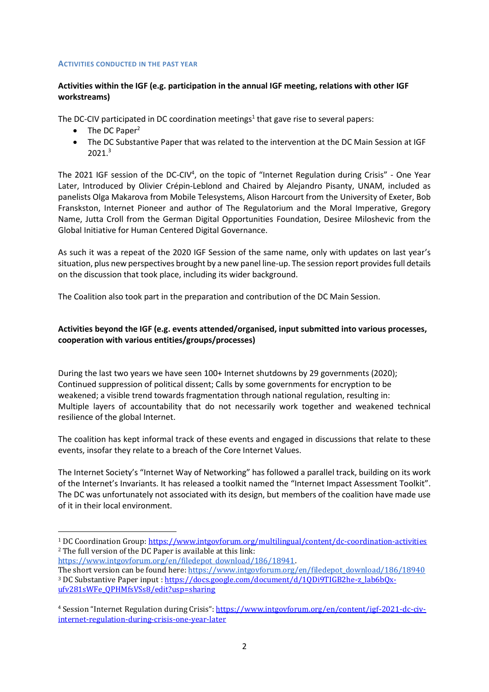#### **ACTIVITIES CONDUCTED IN THE PAST YEAR**

## **Activities within the IGF (e.g. participation in the annual IGF meeting, relations with other IGF workstreams)**

The DC-CIV participated in DC coordination meetings<sup>1</sup> that gave rise to several papers:

 $\bullet$  The DC Paper<sup>2</sup>

**.** 

 The DC Substantive Paper that was related to the intervention at the DC Main Session at IGF 2021.<sup>3</sup>

The 2021 IGF session of the DC-CIV<sup>4</sup>, on the topic of "Internet Regulation during Crisis" - One Year Later, Introduced by Olivier Crépin-Leblond and Chaired by Alejandro Pisanty, UNAM, included as panelists Olga Makarova from Mobile Telesystems, Alison Harcourt from the University of Exeter, Bob Franskston, Internet Pioneer and author of The Regulatorium and the Moral Imperative, Gregory Name, Jutta Croll from the German Digital Opportunities Foundation, Desiree Miloshevic from the Global Initiative for Human Centered Digital Governance.

As such it was a repeat of the 2020 IGF Session of the same name, only with updates on last year's situation, plus new perspectives brought by a new panel line-up. The session report provides full details on the discussion that took place, including its wider background.

The Coalition also took part in the preparation and contribution of the DC Main Session.

# **Activities beyond the IGF (e.g. events attended/organised, input submitted into various processes, cooperation with various entities/groups/processes)**

During the last two years we have seen 100+ Internet shutdowns by 29 governments (2020); Continued suppression of political dissent; Calls by some governments for encryption to be weakened; a visible trend towards fragmentation through national regulation, resulting in: Multiple layers of accountability that do not necessarily work together and weakened technical resilience of the global Internet.

The coalition has kept informal track of these events and engaged in discussions that relate to these events, insofar they relate to a breach of the Core Internet Values.

The Internet Society's "Internet Way of Networking" has followed a parallel track, building on its work of the Internet's Invariants. It has released a toolkit named the "Internet Impact Assessment Toolkit". The DC was unfortunately not associated with its design, but members of the coalition have made use of it in their local environment.

<sup>1</sup> DC Coordination Group:<https://www.intgovforum.org/multilingual/content/dc-coordination-activities> <sup>2</sup> The full version of the DC Paper is available at this link:

[https://www.intgovforum.org/en/filedepot\\_download/186/18941.](https://www.intgovforum.org/en/filedepot_download/186/18941)  The short version can be found here: [https://www.intgovforum.org/en/filedepot\\_download/186/18940](https://www.intgovforum.org/en/filedepot_download/186/18940) <sup>3</sup> DC Substantive Paper input : https://docs.google.com/document/d/10Di9TIGB2he-z\_lab6b0x[ufv281sWFe\\_QPHMfsVSs8/edit?usp=sharing](https://docs.google.com/document/d/1QDi9TIGB2he-z_lab6bQx-ufv281sWFe_QPHMfsVSs8/edit?usp=sharing)

<sup>4</sup> Session "Internet Regulation during Crisis": [https://www.intgovforum.org/en/content/igf-2021-dc-civ](https://www.intgovforum.org/en/content/igf-2021-dc-civ-internet-regulation-during-crisis-one-year-later)[internet-regulation-during-crisis-one-year-later](https://www.intgovforum.org/en/content/igf-2021-dc-civ-internet-regulation-during-crisis-one-year-later)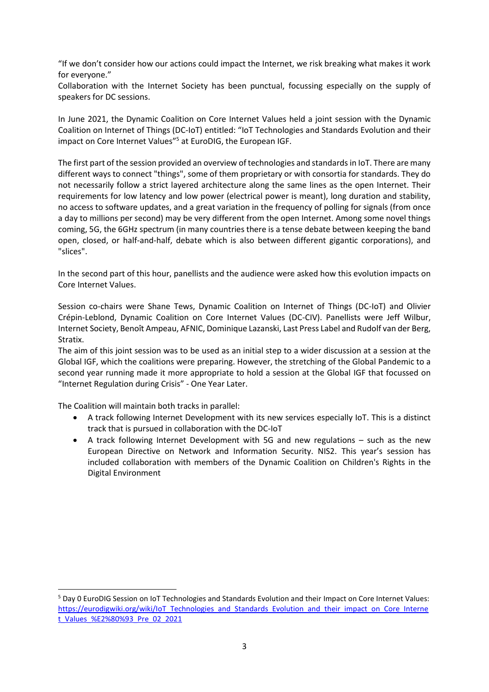"If we don't consider how our actions could impact the Internet, we risk breaking what makes it work for everyone."

Collaboration with the Internet Society has been punctual, focussing especially on the supply of speakers for DC sessions.

In June 2021, the Dynamic Coalition on Core Internet Values held a joint session with the Dynamic Coalition on Internet of Things (DC-IoT) entitled: "IoT Technologies and Standards Evolution and their impact on Core Internet Values"<sup>5</sup> at EuroDIG, the European IGF.

The first part of the session provided an overview of technologies and standards in IoT. There are many different ways to connect "things", some of them proprietary or with consortia for standards. They do not necessarily follow a strict layered architecture along the same lines as the open Internet. Their requirements for low latency and low power (electrical power is meant), long duration and stability, no access to software updates, and a great variation in the frequency of polling for signals (from once a day to millions per second) may be very different from the open Internet. Among some novel things coming, 5G, the 6GHz spectrum (in many countries there is a tense debate between keeping the band open, closed, or half-and-half, debate which is also between different gigantic corporations), and "slices".

In the second part of this hour, panellists and the audience were asked how this evolution impacts on Core Internet Values.

Session co-chairs were Shane Tews, Dynamic Coalition on Internet of Things (DC-IoT) and Olivier Crépin-Leblond, Dynamic Coalition on Core Internet Values (DC-CIV). Panellists were Jeff Wilbur, Internet Society, Benoît Ampeau, AFNIC, Dominique Lazanski, Last Press Label and Rudolf van der Berg, Stratix.

The aim of this joint session was to be used as an initial step to a wider discussion at a session at the Global IGF, which the coalitions were preparing. However, the stretching of the Global Pandemic to a second year running made it more appropriate to hold a session at the Global IGF that focussed on "Internet Regulation during Crisis" - One Year Later.

The Coalition will maintain both tracks in parallel:

1

- A track following Internet Development with its new services especially IoT. This is a distinct track that is pursued in collaboration with the DC-IoT
- A track following Internet Development with 5G and new regulations such as the new European Directive on Network and Information Security. NIS2. This year's session has included collaboration with members of the Dynamic Coalition on Children's Rights in the Digital Environment

<sup>5</sup> Day 0 EuroDIG Session on IoT Technologies and Standards Evolution and their Impact on Core Internet Values: [https://eurodigwiki.org/wiki/IoT\\_Technologies\\_and\\_Standards\\_Evolution\\_and\\_their\\_impact\\_on\\_Core\\_Interne](https://eurodigwiki.org/wiki/IoT_Technologies_and_Standards_Evolution_and_their_impact_on_Core_Internet_Values_%E2%80%93_Pre_02_2021) [t\\_Values\\_%E2%80%93\\_Pre\\_02\\_2021](https://eurodigwiki.org/wiki/IoT_Technologies_and_Standards_Evolution_and_their_impact_on_Core_Internet_Values_%E2%80%93_Pre_02_2021)